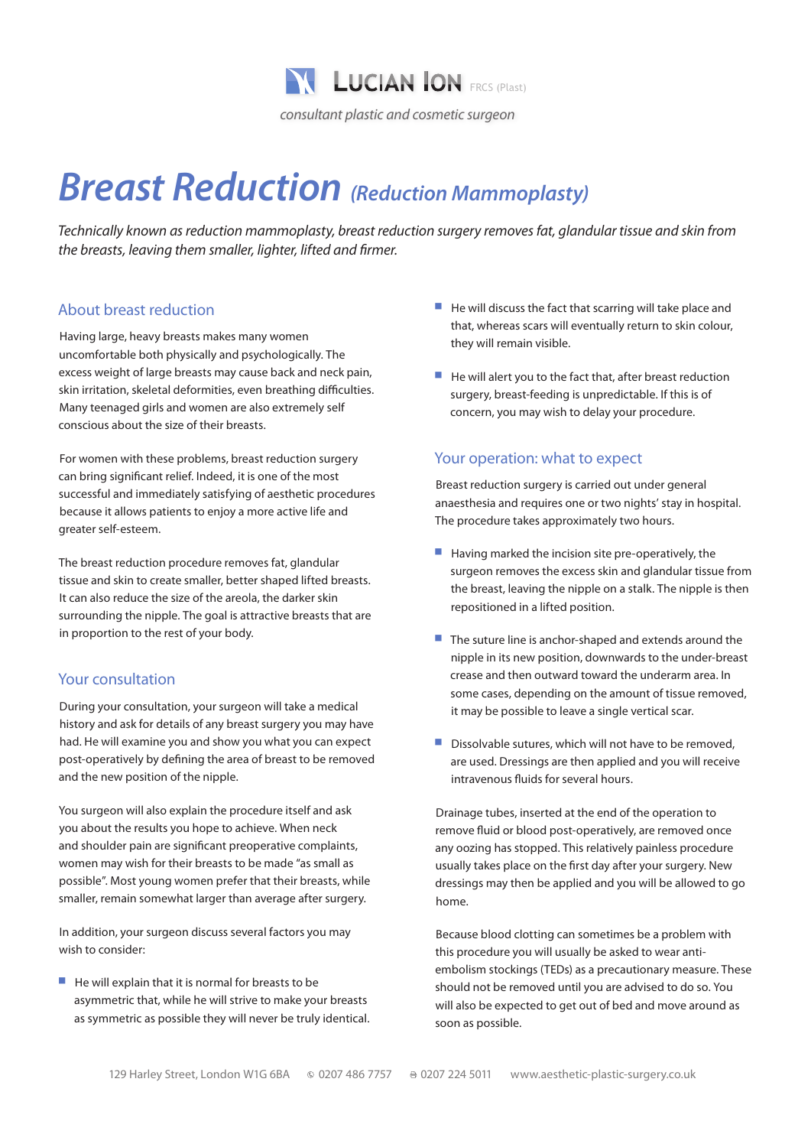

# *Breast Reduction (Reduction Mammoplasty)*

*Technically known as reduction mammoplasty, breast reduction surgery removes fat, glandular tissue and skin from the breasts, leaving them smaller, lighter, lifted and firmer.*

#### About breast reduction

Having large, heavy breasts makes many women uncomfortable both physically and psychologically. The excess weight of large breasts may cause back and neck pain, skin irritation, skeletal deformities, even breathing difficulties. Many teenaged girls and women are also extremely self conscious about the size of their breasts.

For women with these problems, breast reduction surgery can bring significant relief. Indeed, it is one of the most successful and immediately satisfying of aesthetic procedures because it allows patients to enjoy a more active life and greater self-esteem.

The breast reduction procedure removes fat, glandular tissue and skin to create smaller, better shaped lifted breasts. It can also reduce the size of the areola, the darker skin surrounding the nipple. The goal is attractive breasts that are in proportion to the rest of your body.

## Your consultation

During your consultation, your surgeon will take a medical history and ask for details of any breast surgery you may have had. He will examine you and show you what you can expect post-operatively by defining the area of breast to be removed and the new position of the nipple.

You surgeon will also explain the procedure itself and ask you about the results you hope to achieve. When neck and shoulder pain are significant preoperative complaints, women may wish for their breasts to be made "as small as possible". Most young women prefer that their breasts, while smaller, remain somewhat larger than average after surgery.

In addition, your surgeon discuss several factors you may wish to consider:

 $\blacksquare$  He will explain that it is normal for breasts to be asymmetric that, while he will strive to make your breasts as symmetric as possible they will never be truly identical.

- $\blacksquare$  He will discuss the fact that scarring will take place and that, whereas scars will eventually return to skin colour, they will remain visible.
- $\blacksquare$  He will alert you to the fact that, after breast reduction surgery, breast-feeding is unpredictable. If this is of concern, you may wish to delay your procedure.

#### Your operation: what to expect

Breast reduction surgery is carried out under general anaesthesia and requires one or two nights' stay in hospital. The procedure takes approximately two hours.

- $\blacksquare$  Having marked the incision site pre-operatively, the surgeon removes the excess skin and glandular tissue from the breast, leaving the nipple on a stalk. The nipple is then repositioned in a lifted position.
- $\blacksquare$  The suture line is anchor-shaped and extends around the nipple in its new position, downwards to the under-breast crease and then outward toward the underarm area. In some cases, depending on the amount of tissue removed, it may be possible to leave a single vertical scar.
- $\blacksquare$  Dissolvable sutures, which will not have to be removed, are used. Dressings are then applied and you will receive intravenous fluids for several hours.

Drainage tubes, inserted at the end of the operation to remove fluid or blood post-operatively, are removed once any oozing has stopped. This relatively painless procedure usually takes place on the first day after your surgery. New dressings may then be applied and you will be allowed to go home.

Because blood clotting can sometimes be a problem with this procedure you will usually be asked to wear antiembolism stockings (TEDs) as a precautionary measure. These should not be removed until you are advised to do so. You will also be expected to get out of bed and move around as soon as possible.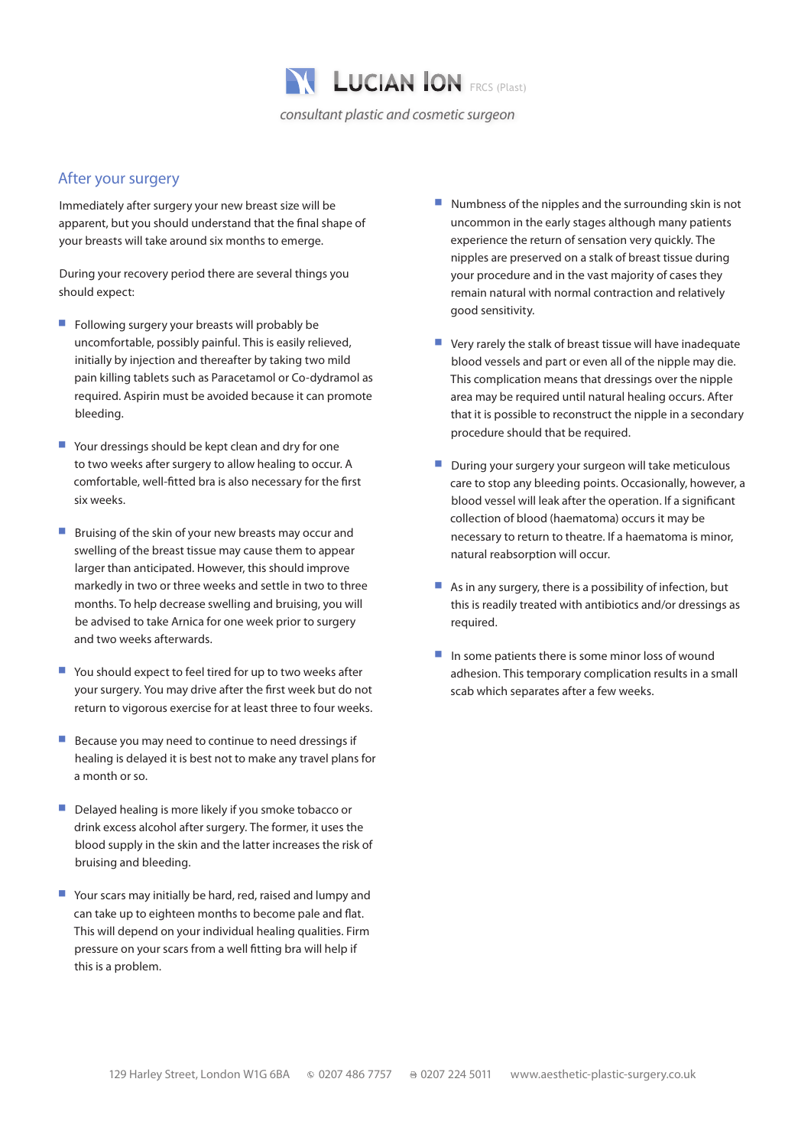

### After your surgery

Immediately after surgery your new breast size will be apparent, but you should understand that the final shape of your breasts will take around six months to emerge.

During your recovery period there are several things you should expect:

- $\blacksquare$  Following surgery your breasts will probably be uncomfortable, possibly painful. This is easily relieved, initially by injection and thereafter by taking two mild pain killing tablets such as Paracetamol or Co-dydramol as required. Aspirin must be avoided because it can promote bleeding.
- $\blacksquare$  Your dressings should be kept clean and dry for one to two weeks after surgery to allow healing to occur. A comfortable, well-fitted bra is also necessary for the first six weeks.
- $\blacksquare$  Bruising of the skin of your new breasts may occur and swelling of the breast tissue may cause them to appear larger than anticipated. However, this should improve markedly in two or three weeks and settle in two to three months. To help decrease swelling and bruising, you will be advised to take Arnica for one week prior to surgery and two weeks afterwards.
- $\blacksquare$  You should expect to feel tired for up to two weeks after your surgery. You may drive after the first week but do not return to vigorous exercise for at least three to four weeks.
- $\blacksquare$  Because you may need to continue to need dressings if healing is delayed it is best not to make any travel plans for a month or so.
- Delayed healing is more likely if you smoke tobacco or drink excess alcohol after surgery. The former, it uses the blood supply in the skin and the latter increases the risk of bruising and bleeding.
- $\blacksquare$  Your scars may initially be hard, red, raised and lumpy and can take up to eighteen months to become pale and flat. This will depend on your individual healing qualities. Firm pressure on your scars from a well fitting bra will help if this is a problem.
- $\blacksquare$  Numbness of the nipples and the surrounding skin is not uncommon in the early stages although many patients experience the return of sensation very quickly. The nipples are preserved on a stalk of breast tissue during your procedure and in the vast majority of cases they remain natural with normal contraction and relatively good sensitivity.
- $\blacksquare$  Very rarely the stalk of breast tissue will have inadequate blood vessels and part or even all of the nipple may die. This complication means that dressings over the nipple area may be required until natural healing occurs. After that it is possible to reconstruct the nipple in a secondary procedure should that be required.
- During your surgery your surgeon will take meticulous care to stop any bleeding points. Occasionally, however, a blood vessel will leak after the operation. If a significant collection of blood (haematoma) occurs it may be necessary to return to theatre. If a haematoma is minor, natural reabsorption will occur.
- $\blacksquare$  As in any surgery, there is a possibility of infection, but this is readily treated with antibiotics and/or dressings as required.
- $\blacksquare$  In some patients there is some minor loss of wound adhesion. This temporary complication results in a small scab which separates after a few weeks.